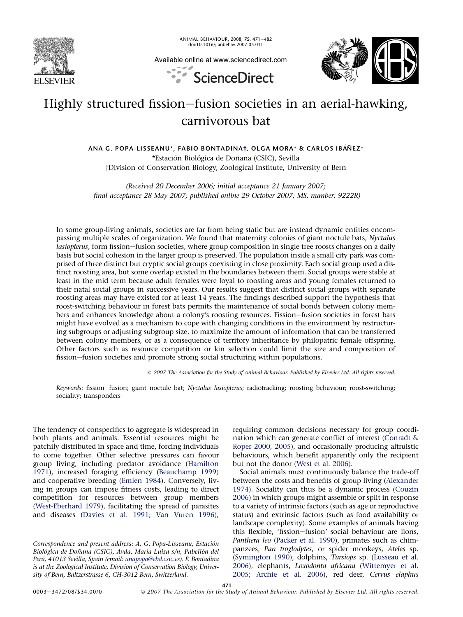

ANIMAL BEHAVIOUR, 2008, 75, 471-482 doi:10.1016/j.anbehav.2007.05.011

Available online at www.sciencedirect.com





# Highly structured fission–fusion societies in an aerial-hawking, carnivorous bat

ANA G. POPA-LISSEANU[\\*](#page-0-0), FABIO BONTADINA†, OLGA MORA\* & CARLOS IBÁÑEZ\* \*Estación Biológica de Doñana (CSIC), Sevilla <sup>†</sup>Division of Conservation Biology, Zoological Institute, University of Bern

(Received 20 December 2006; initial acceptance 21 January 2007; final acceptance 28 May 2007; published online 29 October 2007; MS. number: 9222R)

In some group-living animals, societies are far from being static but are instead dynamic entities encompassing multiple scales of organization. We found that maternity colonies of giant noctule bats, Nyctalus lasiopterus, form fission-fusion societies, where group composition in single tree roosts changes on a daily basis but social cohesion in the larger group is preserved. The population inside a small city park was comprised of three distinct but cryptic social groups coexisting in close proximity. Each social group used a distinct roosting area, but some overlap existed in the boundaries between them. Social groups were stable at least in the mid term because adult females were loyal to roosting areas and young females returned to their natal social groups in successive years. Our results suggest that distinct social groups with separate roosting areas may have existed for at least 14 years. The findings described support the hypothesis that roost-switching behaviour in forest bats permits the maintenance of social bonds between colony members and enhances knowledge about a colony's roosting resources. Fission-fusion societies in forest bats might have evolved as a mechanism to cope with changing conditions in the environment by restructuring subgroups or adjusting subgroup size, to maximize the amount of information that can be transferred between colony members, or as a consequence of territory inheritance by philopatric female offspring. Other factors such as resource competition or kin selection could limit the size and composition of fission–fusion societies and promote strong social structuring within populations.

 $© 2007$  The Association for the Study of Animal Behaviour. Published by Elsevier Ltd. All rights reserved.

Keywords: fission-fusion; giant noctule bat; Nyctalus lasiopterus; radiotracking; roosting behaviour; roost-switching; sociality; transponders

471

The tendency of conspecifics to aggregate is widespread in both plants and animals. Essential resources might be patchily distributed in space and time, forcing individuals to come together. Other selective pressures can favour group living, including predator avoidance ([Hamilton](#page-10-0) [1971](#page-10-0)), increased foraging efficiency ([Beauchamp 1999\)](#page-9-0) and cooperative breeding [\(Emlen 1984](#page-10-0)). Conversely, living in groups can impose fitness costs, leading to direct competition for resources between group members ([West-Eberhard 1979\)](#page-11-0), facilitating the spread of parasites and diseases ([Davies et al. 1991; Van Vuren 1996](#page-10-0)),

<span id="page-0-0"></span>Correspondence and present address: A. G. Popa-Lisseanu, Estación Biológica de Doñana (CSIC), Avda. María Luisa s/n, Pabellón del Perú, 41013 Sevilla, Spain (email: [anapopa@ebd.csic.es](mailto:anapopa@ebd.csic.es)). F. Bontadina is at the Zoological Institute, Division of Conservation Biology, University of Bern, Baltzerstrasse 6, CH-3012 Bern, Switzerland.

requiring common decisions necessary for group coordination which can generate conflict of interest ([Conradt &](#page-10-0) [Roper 2000, 2005](#page-10-0)), and occasionally producing altruistic behaviours, which benefit apparently only the recipient but not the donor [\(West et al. 2006](#page-11-0)).

Social animals must continuously balance the trade-off between the costs and benefits of group living ([Alexander](#page-9-0) [1974](#page-9-0)). Sociality can thus be a dynamic process ([Couzin](#page-10-0) [2006](#page-10-0)) in which groups might assemble or split in response to a variety of intrinsic factors (such as age or reproductive status) and extrinsic factors (such as food availability or landscape complexity). Some examples of animals having this flexible, 'fission-fusion' social behaviour are lions, Panthera leo [\(Packer et al. 1990\)](#page-11-0), primates such as chimpanzees, Pan troglodytes, or spider monkeys, Ateles sp. ([Symington 1990\)](#page-11-0), dolphins, Tursiops sp. ([Lusseau et al.](#page-10-0) [2006](#page-10-0)), elephants, Loxodonta africana [\(Wittemyer et al.](#page-11-0) [2005; Archie et al. 2006](#page-11-0)), red deer, Cervus elaphus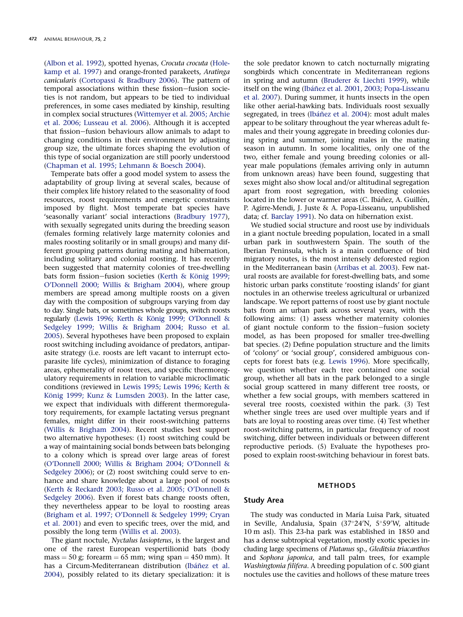([Albon et al. 1992](#page-9-0)), spotted hyenas, Crocuta crocuta [\(Hole](#page-10-0)[kamp et al. 1997\)](#page-10-0) and orange-fronted parakeets, Aratinga canicularis [\(Cortopassi & Bradbury 2006](#page-10-0)). The pattern of temporal associations within these fission-fusion societies is not random, but appears to be tied to individual preferences, in some cases mediated by kinship, resulting in complex social structures ([Wittemyer et al. 2005; Archie](#page-11-0) [et al. 2006; Lusseau et al. 2006](#page-11-0)). Although it is accepted that fission-fusion behaviours allow animals to adapt to changing conditions in their environment by adjusting group size, the ultimate forces shaping the evolution of this type of social organization are still poorly understood ([Chapman et al. 1995; Lehmann & Boesch 2004](#page-10-0)).

Temperate bats offer a good model system to assess the adaptability of group living at several scales, because of their complex life history related to the seasonality of food resources, roost requirements and energetic constraints imposed by flight. Most temperate bat species have 'seasonally variant' social interactions ([Bradbury 1977](#page-9-0)), with sexually segregated units during the breeding season (females forming relatively large maternity colonies and males roosting solitarily or in small groups) and many different grouping patterns during mating and hibernation, including solitary and colonial roosting. It has recently been suggested that maternity colonies of tree-dwelling bats form fission-fusion societies (Kerth & König 1999; [O'Donnell 2000; Willis & Brigham 2004\)](#page-10-0), where group members are spread among multiple roosts on a given day with the composition of subgroups varying from day to day. Single bats, or sometimes whole groups, switch roosts regularly (Lewis 1996; Kerth & König 1999; O'Donnell & [Sedgeley 1999; Willis & Brigham 2004; Russo et al.](#page-10-0) [2005](#page-10-0)). Several hypotheses have been proposed to explain roost switching including avoidance of predators, antiparasite strategy (i.e. roosts are left vacant to interrupt ectoparasite life cycles), minimization of distance to foraging areas, ephemerality of roost trees, and specific thermoregulatory requirements in relation to variable microclimatic conditions (reviewed in [Lewis 1995; Lewis 1996; Kerth &](#page-10-0) König 1999; Kunz & Lumsden 2003). In the latter case, we expect that individuals with different thermoregulatory requirements, for example lactating versus pregnant females, might differ in their roost-switching patterns ([Willis & Brigham 2004](#page-11-0)). Recent studies best support two alternative hypotheses: (1) roost switching could be a way of maintaining social bonds between bats belonging to a colony which is spread over large areas of forest ([O'Donnell 2000; Willis & Brigham 2004; O'Donnell &](#page-10-0) [Sedgeley 2006\)](#page-10-0); or (2) roost switching could serve to enhance and share knowledge about a large pool of roosts ([Kerth & Reckardt 2003; Russo et al. 2005; O'Donnell &](#page-10-0) [Sedgeley 2006\)](#page-10-0). Even if forest bats change roosts often, they nevertheless appear to be loyal to roosting areas ([Brigham et al. 1997; O'Donnell & Sedgeley 1999; Cryan](#page-9-0) [et al. 2001](#page-9-0)) and even to specific trees, over the mid, and possibly the long term ([Willis et al. 2003](#page-11-0)).

The giant noctule, Nyctalus lasiopterus, is the largest and one of the rarest European vespertilionid bats (body  $mass = 50$  g; forearm  $= 65$  mm; wing span  $= 450$  mm). It has a Circum-Mediterranean distribution [\(Ib](#page-10-0)áñez et al. [2004](#page-10-0)), possibly related to its dietary specialization: it is the sole predator known to catch nocturnally migrating songbirds which concentrate in Mediterranean regions in spring and autumn [\(Bruderer & Liechti 1999](#page-10-0)), while itself on the wing [\(Ib](#page-10-0)áñez et al. 2001, 2003; Popa-Lisseanu [et al. 2007\)](#page-10-0). During summer, it hunts insects in the open like other aerial-hawking bats. Individuals roost sexually segregated, in trees ([Ib](#page-10-0)áñez et al. 2004): most adult males appear to be solitary throughout the year whereas adult females and their young aggregate in breeding colonies during spring and summer, joining males in the mating season in autumn. In some localities, only one of the two, either female and young breeding colonies or allyear male populations (females arriving only in autumn from unknown areas) have been found, suggesting that sexes might also show local and/or altitudinal segregation apart from roost segregation, with breeding colonies located in the lower or warmer areas (C. Ibáñez, A. Guillén, P. Agirre-Mendi, J. Juste & A. Popa-Lisseanu, unpublished data; cf. [Barclay 1991](#page-9-0)). No data on hibernation exist.

We studied social structure and roost use by individuals in a giant noctule breeding population, located in a small urban park in southwestern Spain. The south of the Iberian Peninsula, which is a main confluence of bird migratory routes, is the most intensely deforested region in the Mediterranean basin [\(Arribas et al. 2003\)](#page-9-0). Few natural roosts are available for forest-dwelling bats, and some historic urban parks constitute 'roosting islands' for giant noctules in an otherwise treeless agricultural or urbanized landscape. We report patterns of roost use by giant noctule bats from an urban park across several years, with the following aims: (1) assess whether maternity colonies of giant noctule conform to the fission-fusion society model, as has been proposed for smaller tree-dwelling bat species. (2) Define population structure and the limits of 'colony' or 'social group', considered ambiguous concepts for forest bats (e.g. [Lewis 1996\)](#page-10-0). More specifically, we question whether each tree contained one social group, whether all bats in the park belonged to a single social group scattered in many different tree roosts, or whether a few social groups, with members scattered in several tree roosts, coexisted within the park. (3) Test whether single trees are used over multiple years and if bats are loyal to roosting areas over time. (4) Test whether roost-switching patterns, in particular frequency of roost switching, differ between individuals or between different reproductive periods. (5) Evaluate the hypotheses proposed to explain roost-switching behaviour in forest bats.

## METHODS

# Study Area

The study was conducted in María Luisa Park, situated in Seville, Andalusia, Spain (37°24'N, 5°59'W, altitude 10 m asl). This 23-ha park was established in 1850 and has a dense subtropical vegetation, mostly exotic species including large specimens of Platanus sp., Gleditsia triacanthos and Sophora japonica, and tall palm trees, for example Washingtonia filifera. A breeding population of c. 500 giant noctules use the cavities and hollows of these mature trees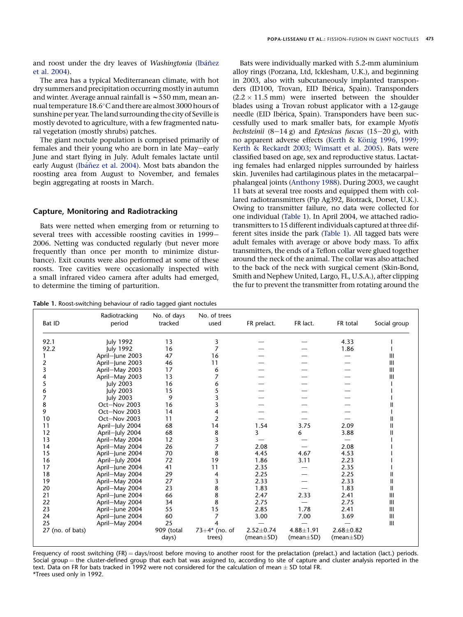and roost under the dry leaves of Washingtonia [\(Ib](#page-10-0)áñez [et al. 2004](#page-10-0)).

The area has a typical Mediterranean climate, with hot dry summers and precipitation occurring mostly in autumn and winter. Average annual rainfall is  $\sim$  550 mm, mean annual temperature 18.6"C and there are almost 3000 hours of sunshine per year. The land surrounding the city of Seville is mostly devoted to agriculture, with a few fragmented natural vegetation (mostly shrubs) patches.

The giant noctule population is comprised primarily of females and their young who are born in late May-early June and start flying in July. Adult females lactate until early August ([Ib](#page-10-0)áñez et al. 2004). Most bats abandon the roosting area from August to November, and females begin aggregating at roosts in March.

## Capture, Monitoring and Radiotracking

Bats were netted when emerging from or returning to several trees with accessible roosting cavities in 1999– 2006. Netting was conducted regularly (but never more frequently than once per month to minimize disturbance). Exit counts were also performed at some of these roosts. Tree cavities were occasionally inspected with a small infrared video camera after adults had emerged, to determine the timing of parturition.

| Table 1. Roost-switching behaviour of radio tagged giant noctules |  |  |  |
|-------------------------------------------------------------------|--|--|--|
|                                                                   |  |  |  |

Bats were individually marked with 5.2-mm aluminium alloy rings (Porzana, Ltd, Icklesham, U.K.), and beginning in 2003, also with subcutaneously implanted transponders (ID100, Trovan, EID Ibérica, Spain). Transponders  $(2.2 \times 11.5 \text{ mm})$  were inserted between the shoulder blades using a Trovan robust applicator with a 12-gauge needle (EID Ibérica, Spain). Transponders have been successfully used to mark smaller bats, for example Myotis bechsteinii  $(8-14 \text{ g})$  and Eptesicus fuscus  $(15-20 \text{ g})$ , with no apparent adverse effects (Kerth & König 1996, 1999; [Kerth & Reckardt 2003; Wimsatt et al. 2005\)](#page-10-0). Bats were classified based on age, sex and reproductive status. Lactating females had enlarged nipples surrounded by hairless skin. Juveniles had cartilaginous plates in the metacarpalphalangeal joints ([Anthony 1988\)](#page-9-0). During 2003, we caught 11 bats at several tree roosts and equipped them with collared radiotransmitters (Pip Ag392, Biotrack, Dorset, U.K.). Owing to transmitter failure, no data were collected for one individual [\(Table 1\)](#page-2-0). In April 2004, we attached radiotransmitters to 15 different individuals captured at three different sites inside the park [\(Table 1](#page-2-0)). All tagged bats were adult females with average or above body mass. To affix transmitters, the ends of a Teflon collar were glued together around the neck of the animal. The collar was also attached to the back of the neck with surgical cement (Skin-Bond, Smith and Nephew United, Largo, FL, U.S.A.), after clipping the fur to prevent the transmitter from rotating around the

| Bat ID           | Radiotracking<br>period | No. of days<br>tracked | No. of trees<br>used      | FR prelact.                        | FR lact.                           | FR total                         | Social group   |
|------------------|-------------------------|------------------------|---------------------------|------------------------------------|------------------------------------|----------------------------------|----------------|
| 92.1             | <b>July 1992</b>        | 13                     | 3                         |                                    |                                    | 4.33                             |                |
| 92.2             | <b>July 1992</b>        | 16                     | 7                         |                                    |                                    | 1.86                             |                |
|                  | April-June 2003         | 47                     | 16                        |                                    |                                    |                                  | Ш              |
| 2                | April-June 2003         | 46                     | 11                        |                                    |                                    |                                  | III            |
| 3                | April-May 2003          | 17                     | 6                         |                                    |                                    |                                  | $\mathbf{III}$ |
| 4                | April-May 2003          | 13                     |                           |                                    |                                    |                                  | III            |
| 5                | <b>July 2003</b>        | 16                     | 6                         |                                    |                                    |                                  |                |
| 6                | <b>July 2003</b>        | 15                     | 5                         |                                    |                                    |                                  |                |
| 7                | July 2003               | 9                      | 3                         |                                    |                                    |                                  |                |
| 8                | Oct-Nov 2003            | 16                     | 3                         |                                    |                                    |                                  |                |
| 9                | Oct-Nov 2003            | 14                     | 4                         |                                    |                                    |                                  |                |
| 10               | Oct-Nov 2003            | 11                     | 2                         |                                    |                                    |                                  | Н              |
| 11               | April-July 2004         | 68                     | 14                        | 1.54                               | 3.75                               | 2.09                             | II             |
| 12               | April-July 2004         | 68                     | 8                         | 3                                  | 6                                  | 3.88                             | Ш              |
| 13               | April-May 2004          | 12                     | 3                         |                                    |                                    |                                  |                |
| 14               | April-May 2004          | 26                     | 7                         | 2.08                               |                                    | 2.08                             |                |
| 15               | April-June 2004         | 70                     | 8                         | 4.45                               | 4.67                               | 4.53                             |                |
| 16               | April-July 2004         | 72                     | 19                        | 1.86                               | 3.11                               | 2.23                             |                |
| 17               | April-June 2004         | 41                     | 11                        | 2.35                               |                                    | 2.35                             |                |
| 18               | April-May 2004          | 29                     | 4                         | 2.25                               |                                    | 2.25                             |                |
| 19               | April-May 2004          | 27                     | 3                         | 2.33                               |                                    | 2.33                             | Ш              |
| 20               | April-May 2004          | 23                     | 8                         | 1.83                               |                                    | 1.83                             | Ш              |
| 21               | April-June 2004         | 66                     | 8                         | 2.47                               | 2.33                               | 2.41                             | $\mathbf{III}$ |
| 22               | April-May 2004          | 34                     | 8                         | 2.75                               |                                    | 2.75                             | $\mathbf{III}$ |
| 23               | April-June 2004         | 55                     | 15                        | 2.85                               | 1.78                               | 2.41                             | Ш              |
| 24               | April-June 2004         | 60                     |                           | 3.00                               | 7.00                               | 3.69                             | $\mathbf{III}$ |
| 25               | April-May 2004          | 25                     |                           |                                    |                                    |                                  | III            |
| 27 (no. of bats) |                         | 909 (total<br>days)    | $73+4*$ (no. of<br>trees) | $2.52 \pm 0.74$<br>(mean $\pm$ SD) | $4.88 \pm 1.91$<br>(mean $\pm$ SD) | $2.68 + 0.82$<br>(mean $\pm$ SD) |                |

<span id="page-2-0"></span>Frequency of roost switching (FR) = days/roost before moving to another roost for the prelactation (prelact.) and lactation (lact.) periods. Social group = the cluster-defined group that each bat was assigned to, according to site of capture and cluster analysis reported in the text. Data on FR for bats tracked in 1992 were not considered for the calculation of mean  $\pm$  SD total FR. \*Trees used only in 1992.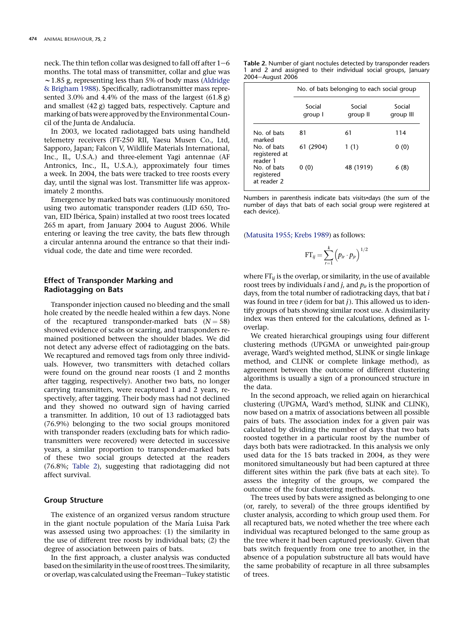neck. The thin teflon collar was designed to fall off after  $1-6$ months. The total mass of transmitter, collar and glue was  $\sim$  1.85 g, representing less than 5% of body mass [\(Aldridge](#page-9-0) [& Brigham 1988\)](#page-9-0). Specifically, radiotransmitter mass represented 3.0% and 4.4% of the mass of the largest (61.8 g) and smallest (42 g) tagged bats, respectively. Capture and marking of bats were approved by the Environmental Council of the Junta de Andalucía.

In 2003, we located radiotagged bats using handheld telemetry receivers (FT-250 RII, Yaesu Musen Co., Ltd, Sapporo, Japan; Falcon V, Wildlife Materials International, Inc., IL, U.S.A.) and three-element Yagi antennae (AF Antronics, Inc., IL, U.S.A.), approximately four times a week. In 2004, the bats were tracked to tree roosts every day, until the signal was lost. Transmitter life was approximately 2 months.

Emergence by marked bats was continuously monitored using two automatic transponder readers (LID 650, Trovan, EID Ibérica, Spain) installed at two roost trees located 265 m apart, from January 2004 to August 2006. While entering or leaving the tree cavity, the bats flew through a circular antenna around the entrance so that their individual code, the date and time were recorded.

# Effect of Transponder Marking and Radiotagging on Bats

Transponder injection caused no bleeding and the small hole created by the needle healed within a few days. None of the recaptured transponder-marked bats  $(N = 58)$ showed evidence of scabs or scarring, and transponders remained positioned between the shoulder blades. We did not detect any adverse effect of radiotagging on the bats. We recaptured and removed tags from only three individuals. However, two transmitters with detached collars were found on the ground near roosts (1 and 2 months after tagging, respectively). Another two bats, no longer carrying transmitters, were recaptured 1 and 2 years, respectively, after tagging. Their body mass had not declined and they showed no outward sign of having carried a transmitter. In addition, 10 out of 13 radiotagged bats (76.9%) belonging to the two social groups monitored with transponder readers (excluding bats for which radiotransmitters were recovered) were detected in successive years, a similar proportion to transponder-marked bats of these two social groups detected at the readers (76.8%; [Table 2](#page-3-0)), suggesting that radiotagging did not affect survival.

## Group Structure

The existence of an organized versus random structure in the giant noctule population of the María Luisa Park was assessed using two approaches: (1) the similarity in the use of different tree roosts by individual bats; (2) the degree of association between pairs of bats.

<span id="page-3-0"></span>In the first approach, a cluster analysis was conducted based on the similarity in the use of roost trees. The similarity, or overlap, was calculated using the Freeman-Tukey statistic

Table 2. Number of giant noctules detected by transponder readers 1 and 2 and assigned to their individual social groups, January 2004-August 2006

|                                          | No. of bats belonging to each social group |                    |                     |  |
|------------------------------------------|--------------------------------------------|--------------------|---------------------|--|
|                                          | Social<br>group I                          | Social<br>group II | Social<br>group III |  |
| No. of bats<br>marked                    | 81                                         | 61                 | 114                 |  |
| No. of bats<br>registered at<br>reader 1 | 61 (2904)                                  | 1(1)               | 0(0)                |  |
| No. of bats<br>registered<br>at reader 2 | 0(0)                                       | 48 (1919)          | 6(8)                |  |

Numbers in parenthesis indicate bats visits\*days (the sum of the number of days that bats of each social group were registered at each device).

([Matusita 1955; Krebs 1989](#page-10-0)) as follows:

$$
FT_{ij} = \sum_{r=1}^{k} (p_{ir} \cdot p_{jr})^{1/2}
$$

where  $FT_{ii}$  is the overlap, or similarity, in the use of available roost trees by individuals *i* and *j*, and  $p_{ir}$  is the proportion of days, from the total number of radiotracking days, that bat i was found in tree  $r$  (idem for bat  $j$ ). This allowed us to identify groups of bats showing similar roost use. A dissimilarity index was then entered for the calculations, defined as 1 overlap.

We created hierarchical groupings using four different clustering methods (UPGMA or unweighted pair-group average, Ward's weighted method, SLINK or single linkage method, and CLINK or complete linkage method), as agreement between the outcome of different clustering algorithms is usually a sign of a pronounced structure in the data.

In the second approach, we relied again on hierarchical clustering (UPGMA, Ward's method, SLINK and CLINK), now based on a matrix of associations between all possible pairs of bats. The association index for a given pair was calculated by dividing the number of days that two bats roosted together in a particular roost by the number of days both bats were radiotracked. In this analysis we only used data for the 15 bats tracked in 2004, as they were monitored simultaneously but had been captured at three different sites within the park (five bats at each site). To assess the integrity of the groups, we compared the outcome of the four clustering methods.

The trees used by bats were assigned as belonging to one (or, rarely, to several) of the three groups identified by cluster analysis, according to which group used them. For all recaptured bats, we noted whether the tree where each individual was recaptured belonged to the same group as the tree where it had been captured previously. Given that bats switch frequently from one tree to another, in the absence of a population substructure all bats would have the same probability of recapture in all three subsamples of trees.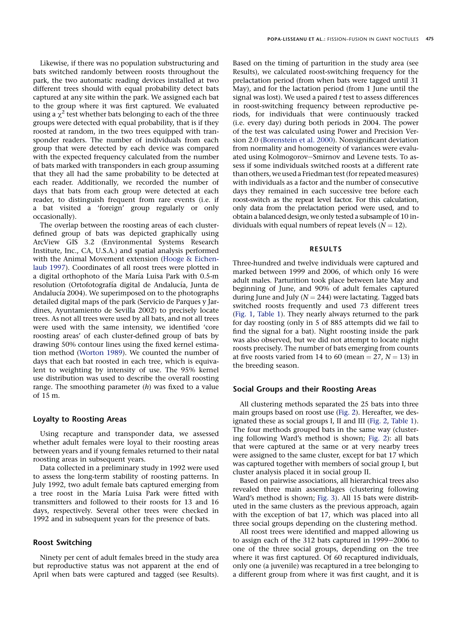Likewise, if there was no population substructuring and bats switched randomly between roosts throughout the park, the two automatic reading devices installed at two different trees should with equal probability detect bats captured at any site within the park. We assigned each bat to the group where it was first captured. We evaluated using a  $\chi^2$  test whether bats belonging to each of the three groups were detected with equal probability, that is if they roosted at random, in the two trees equipped with transponder readers. The number of individuals from each group that were detected by each device was compared with the expected frequency calculated from the number of bats marked with transponders in each group assuming that they all had the same probability to be detected at each reader. Additionally, we recorded the number of days that bats from each group were detected at each reader, to distinguish frequent from rare events (i.e. if a bat visited a 'foreign' group regularly or only occasionally).

The overlap between the roosting areas of each clusterdefined group of bats was depicted graphically using ArcView GIS 3.2 (Environmental Systems Research Institute, Inc., CA, U.S.A.) and spatial analysis performed with the Animal Movement extension [\(Hooge & Eichen](#page-10-0)[laub 1997](#page-10-0)). Coordinates of all roost trees were plotted in a digital orthophoto of the María Luisa Park with 0.5-m resolution (Ortofotografía digital de Andalucía, Junta de Andalucía 2004). We superimposed on to the photographs detailed digital maps of the park (Servicio de Parques y Jardines, Ayuntamiento de Sevilla 2002) to precisely locate trees. As not all trees were used by all bats, and not all trees were used with the same intensity, we identified 'core roosting areas' of each cluster-defined group of bats by drawing 50% contour lines using the fixed kernel estimation method ([Worton 1989\)](#page-11-0). We counted the number of days that each bat roosted in each tree, which is equivalent to weighting by intensity of use. The 95% kernel use distribution was used to describe the overall roosting range. The smoothing parameter  $(h)$  was fixed to a value of 15 m.

## Loyalty to Roosting Areas

Using recapture and transponder data, we assessed whether adult females were loyal to their roosting areas between years and if young females returned to their natal roosting areas in subsequent years.

Data collected in a preliminary study in 1992 were used to assess the long-term stability of roosting patterns. In July 1992, two adult female bats captured emerging from a tree roost in the María Luisa Park were fitted with transmitters and followed to their roosts for 13 and 16 days, respectively. Several other trees were checked in 1992 and in subsequent years for the presence of bats.

## Roost Switching

Ninety per cent of adult females breed in the study area but reproductive status was not apparent at the end of April when bats were captured and tagged (see Results). Based on the timing of parturition in the study area (see Results), we calculated roost-switching frequency for the prelactation period (from when bats were tagged until 31 May), and for the lactation period (from 1 June until the signal was lost). We used a paired  $t$  test to assess differences in roost-switching frequency between reproductive periods, for individuals that were continuously tracked (i.e. every day) during both periods in 2004. The power of the test was calculated using Power and Precision Version 2.0 [\(Borenstein et al. 2000](#page-9-0)). Nonsignificant deviation from normality and homogeneity of variances were evaluated using Kolmogorov-Smirnov and Levene tests. To assess if some individuals switched roosts at a different rate than others, we used a Friedman test (for repeated measures) with individuals as a factor and the number of consecutive days they remained in each successive tree before each roost-switch as the repeat level factor. For this calculation, only data from the prelactation period were used, and to obtain a balanced design, we only tested a subsample of 10 individuals with equal numbers of repeat levels ( $N = 12$ ).

## RESULTS

Three-hundred and twelve individuals were captured and marked between 1999 and 2006, of which only 16 were adult males. Parturition took place between late May and beginning of June, and 90% of adult females captured during June and July ( $N = 244$ ) were lactating. Tagged bats switched roosts frequently and used 73 different trees ([Fig. 1,](#page-5-0) [Table 1](#page-2-0)). They nearly always returned to the park for day roosting (only in 5 of 885 attempts did we fail to find the signal for a bat). Night roosting inside the park was also observed, but we did not attempt to locate night roosts precisely. The number of bats emerging from counts at five roosts varied from 14 to 60 (mean = 27,  $N = 13$ ) in the breeding season.

## Social Groups and their Roosting Areas

All clustering methods separated the 25 bats into three main groups based on roost use ([Fig. 2\)](#page-5-0). Hereafter, we designated these as social groups I, II and III ([Fig. 2](#page-5-0), [Table 1](#page-2-0)). The four methods grouped bats in the same way (clustering following Ward's method is shown; [Fig. 2](#page-5-0)): all bats that were captured at the same or at very nearby trees were assigned to the same cluster, except for bat 17 which was captured together with members of social group I, but cluster analysis placed it in social group II.

Based on pairwise associations, all hierarchical trees also revealed three main assemblages (clustering following Ward's method is shown; [Fig. 3](#page-6-0)). All 15 bats were distributed in the same clusters as the previous approach, again with the exception of bat 17, which was placed into all three social groups depending on the clustering method.

All roost trees were identified and mapped allowing us to assign each of the 312 bats captured in  $1999-2006$  to one of the three social groups, depending on the tree where it was first captured. Of 60 recaptured individuals, only one (a juvenile) was recaptured in a tree belonging to a different group from where it was first caught, and it is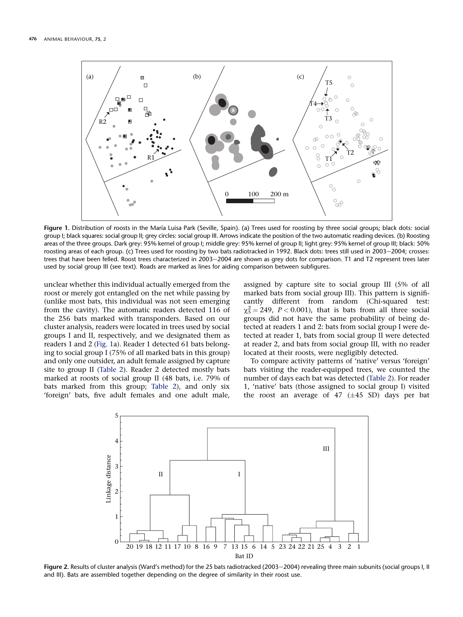

Figure 1. Distribution of roosts in the María Luisa Park (Seville, Spain). (a) Trees used for roosting by three social groups; black dots: social group I; black squares: social group II; grey circles: social group III. Arrows indicate the position of the two automatic reading devices. (b) Roosting areas of the three groups. Dark grey: 95% kernel of group I; middle grey: 95% kernel of group II; light grey: 95% kernel of group III; black: 50% roosting areas of each group. (c) Trees used for roosting by two bats radiotracked in 1992. Black dots: trees still used in 2003-2004; crosses: trees that have been felled. Roost trees characterized in 2003-2004 are shown as grey dots for comparison. T1 and T2 represent trees later used by social group III (see text). Roads are marked as lines for aiding comparison between subfigures.

unclear whether this individual actually emerged from the roost or merely got entangled on the net while passing by (unlike most bats, this individual was not seen emerging from the cavity). The automatic readers detected 116 of the 256 bats marked with transponders. Based on our cluster analysis, readers were located in trees used by social groups I and II, respectively, and we designated them as readers 1 and 2 [\(Fig. 1](#page-5-0)a). Reader 1 detected 61 bats belonging to social group I (75% of all marked bats in this group) and only one outsider, an adult female assigned by capture site to group II ([Table 2\)](#page-3-0). Reader 2 detected mostly bats marked at roosts of social group II (48 bats, i.e. 79% of bats marked from this group; [Table 2](#page-3-0)), and only six 'foreign' bats, five adult females and one adult male,

assigned by capture site to social group III (5% of all marked bats from social group III). This pattern is significantly different from random (Chi-squared test:  $\chi^2$  = 249, *P* < 0.001), that is bats from all three social groups did not have the same probability of being detected at readers 1 and 2: bats from social group I were detected at reader 1, bats from social group II were detected at reader 2, and bats from social group III, with no reader located at their roosts, were negligibly detected.

To compare activity patterns of 'native' versus 'foreign' bats visiting the reader-equipped trees, we counted the number of days each bat was detected ([Table 2\)](#page-3-0). For reader 1, 'native' bats (those assigned to social group I) visited the roost an average of 47  $(\pm 45$  SD) days per bat



<span id="page-5-0"></span>Figure 2. Results of cluster analysis (Ward's method) for the 25 bats radiotracked (2003-2004) revealing three main subunits (social groups I, II and III). Bats are assembled together depending on the degree of similarity in their roost use.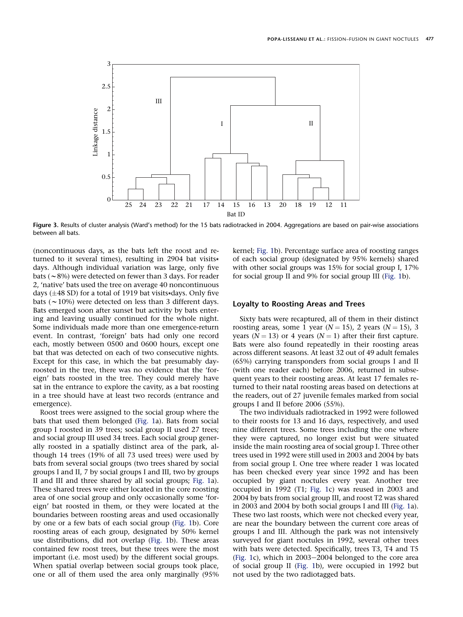

Figure 3. Results of cluster analysis (Ward's method) for the 15 bats radiotracked in 2004. Aggregations are based on pair-wise associations between all bats.

(noncontinuous days, as the bats left the roost and returned to it several times), resulting in 2904 bat visits\* days. Although individual variation was large, only five bats ( $\sim$ 8%) were detected on fewer than 3 days. For reader 2, 'native' bats used the tree on average 40 noncontinuous days  $(\pm 48$  SD) for a total of 1919 bat visits\*days. Only five bats ( $\sim$ 10%) were detected on less than 3 different days. Bats emerged soon after sunset but activity by bats entering and leaving usually continued for the whole night. Some individuals made more than one emergence-return event. In contrast, 'foreign' bats had only one record each, mostly between 0500 and 0600 hours, except one bat that was detected on each of two consecutive nights. Except for this case, in which the bat presumably dayroosted in the tree, there was no evidence that the 'foreign' bats roosted in the tree. They could merely have sat in the entrance to explore the cavity, as a bat roosting in a tree should have at least two records (entrance and emergence).

<span id="page-6-0"></span>Roost trees were assigned to the social group where the bats that used them belonged ([Fig. 1](#page-5-0)a). Bats from social group I roosted in 39 trees; social group II used 27 trees; and social group III used 34 trees. Each social group generally roosted in a spatially distinct area of the park, although 14 trees (19% of all 73 used trees) were used by bats from several social groups (two trees shared by social groups I and II, 7 by social groups I and III, two by groups II and III and three shared by all social groups; [Fig. 1a](#page-5-0)). These shared trees were either located in the core roosting area of one social group and only occasionally some 'foreign' bat roosted in them, or they were located at the boundaries between roosting areas and used occasionally by one or a few bats of each social group ([Fig. 1b](#page-5-0)). Core roosting areas of each group, designated by 50% kernel use distributions, did not overlap ([Fig. 1](#page-5-0)b). These areas contained few roost trees, but these trees were the most important (i.e. most used) by the different social groups. When spatial overlap between social groups took place, one or all of them used the area only marginally (95%

kernel; [Fig. 1b](#page-5-0)). Percentage surface area of roosting ranges of each social group (designated by 95% kernels) shared with other social groups was 15% for social group I, 17% for social group II and 9% for social group III ([Fig. 1](#page-5-0)b).

#### Loyalty to Roosting Areas and Trees

Sixty bats were recaptured, all of them in their distinct roosting areas, some 1 year ( $N = 15$ ), 2 years ( $N = 15$ ), 3 years ( $N = 13$ ) or 4 years ( $N = 1$ ) after their first capture. Bats were also found repeatedly in their roosting areas across different seasons. At least 32 out of 49 adult females (65%) carrying transponders from social groups I and II (with one reader each) before 2006, returned in subsequent years to their roosting areas. At least 17 females returned to their natal roosting areas based on detections at the readers, out of 27 juvenile females marked from social groups I and II before 2006 (55%).

The two individuals radiotracked in 1992 were followed to their roosts for 13 and 16 days, respectively, and used nine different trees. Some trees including the one where they were captured, no longer exist but were situated inside the main roosting area of social group I. Three other trees used in 1992 were still used in 2003 and 2004 by bats from social group I. One tree where reader 1 was located has been checked every year since 1992 and has been occupied by giant noctules every year. Another tree occupied in 1992 (T1; [Fig. 1](#page-5-0)c) was reused in 2003 and 2004 by bats from social group III, and roost T2 was shared in 2003 and 2004 by both social groups I and III [\(Fig. 1a](#page-5-0)). These two last roosts, which were not checked every year, are near the boundary between the current core areas of groups I and III. Although the park was not intensively surveyed for giant noctules in 1992, several other trees with bats were detected. Specifically, trees T3, T4 and T5 ([Fig. 1c](#page-5-0)), which in  $2003-2004$  belonged to the core area of social group II [\(Fig. 1](#page-5-0)b), were occupied in 1992 but not used by the two radiotagged bats.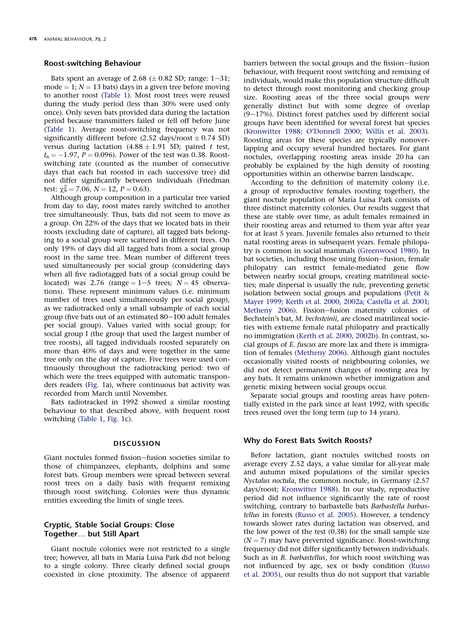# Roost-switching Behaviour

Bats spent an average of 2.68 ( $\pm$  0.82 SD; range: 1–31; mode = 1;  $N = 13$  bats) days in a given tree before moving to another roost [\(Table 1](#page-2-0)). Most roost trees were reused during the study period (less than 30% were used only once). Only seven bats provided data during the lactation period because transmitters failed or fell off before June ([Table 1\)](#page-2-0). Average roost-switching frequency was not significantly different before  $(2.52 \text{ days/roots} \pm 0.74 \text{ SD})$ versus during lactation  $(4.88 \pm 1.91 \text{ SD})$ ; paired t test,  $t_6 = -1.97$ ,  $P = 0.096$ ). Power of the test was 0.38. Roostswitching rate (counted as the number of consecutive days that each bat roosted in each successive tree) did not differ significantly between individuals (Friedman test:  $\chi^2 = 7.06$ ,  $N = 12$ ,  $P = 0.63$ ).

Although group composition in a particular tree varied from day to day, roost mates rarely switched to another tree simultaneously. Thus, bats did not seem to move as a group. On 22% of the days that we located bats in their roosts (excluding date of capture), all tagged bats belonging to a social group were scattered in different trees. On only 19% of days did all tagged bats from a social group roost in the same tree. Mean number of different trees used simultaneously per social group (considering days when all five radiotagged bats of a social group could be located) was 2.76 (range  $= 1-5$  trees; N  $= 45$  observations). These represent minimum values (i.e. minimum number of trees used simultaneously per social group), as we radiotracked only a small subsample of each social group (five bats out of an estimated  $80-100$  adult females per social group). Values varied with social group; for social group I (the group that used the largest number of tree roosts), all tagged individuals roosted separately on more than 40% of days and were together in the same tree only on the day of capture. Five trees were used continuously throughout the radiotracking period: two of which were the trees equipped with automatic transponders readers ([Fig. 1](#page-5-0)a), where continuous bat activity was recorded from March until November.

Bats radiotracked in 1992 showed a similar roosting behaviour to that described above, with frequent roost switching ([Table 1,](#page-2-0) [Fig. 1c](#page-5-0)).

#### **DISCUSSION**

Giant noctules formed fission-fusion societies similar to those of chimpanzees, elephants, dolphins and some forest bats. Group members were spread between several roost trees on a daily basis with frequent remixing through roost switching. Colonies were thus dynamic entities exceeding the limits of single trees.

# Cryptic, Stable Social Groups: Close Together... but Still Apart

Giant noctule colonies were not restricted to a single tree; however, all bats in María Luisa Park did not belong to a single colony. Three clearly defined social groups coexisted in close proximity. The absence of apparent

barriers between the social groups and the fission-fusion behaviour, with frequent roost switching and remixing of individuals, would make this population structure difficult to detect through roost monitoring and checking group size. Roosting areas of the three social groups were generally distinct but with some degree of overlap  $(9-17%)$ . Distinct forest patches used by different social groups have been identified for several forest bat species ([Kronwitter 1988; O'Donnell 2000; Willis et al. 2003](#page-10-0)). Roosting areas for these species are typically nonoverlapping and occupy several hundred hectares. For giant noctules, overlapping roosting areas inside 20 ha can probably be explained by the high density of roosting opportunities within an otherwise barren landscape.

According to the definition of maternity colony (i.e. a group of reproductive females roosting together), the giant noctule population of María Luisa Park consists of three distinct maternity colonies. Our results suggest that these are stable over time, as adult females remained in their roosting areas and returned to them year after year for at least 5 years. Juvenile females also returned to their natal roosting areas in subsequent years. Female philopatry is common in social mammals [\(Greenwood 1980](#page-10-0)). In bat societies, including those using fission-fusion, female philopatry can restrict female-mediated gene flow between nearby social groups, creating matrilineal societies; male dispersal is usually the rule, preventing genetic isolation between social groups and populations [\(Petit &](#page-11-0) [Mayer 1999; Kerth et al. 2000, 2002a; Castella et al. 2001;](#page-11-0) [Metheny 2006\)](#page-11-0). Fission-fusion maternity colonies of Bechstein's bat, M. bechsteinii, are closed matrilineal societies with extreme female natal philopatry and practically no immigration ([Kerth et al. 2000, 2002b](#page-10-0)). In contrast, social groups of E. fuscus are more lax and there is immigration of females [\(Metheny 2006](#page-10-0)). Although giant noctules occasionally visited roosts of neighbouring colonies, we did not detect permanent changes of roosting area by any bats. It remains unknown whether immigration and genetic mixing between social groups occur.

Separate social groups and roosting areas have potentially existed in the park since at least 1992, with specific trees reused over the long term (up to 14 years).

#### Why do Forest Bats Switch Roosts?

Before lactation, giant noctules switched roosts on average every 2.52 days, a value similar for all-year male and autumn mixed populations of the similar species Nyctalus noctula, the common noctule, in Germany (2.57 days/roost; [Kronwitter 1988\)](#page-10-0). In our study, reproductive period did not influence significantly the rate of roost switching, contrary to barbastelle bats Barbastella barbastellus in forests ([Russo et al. 2005](#page-11-0)). However, a tendency towards slower rates during lactation was observed, and the low power of the test (0.38) for the small sample size  $(N = 7)$  may have prevented significance. Roost-switching frequency did not differ significantly between individuals. Such as in *B. barbastellus*, for which roost switching was not influenced by age, sex or body condition [\(Russo](#page-11-0) [et al. 2005\)](#page-11-0), our results thus do not support that variable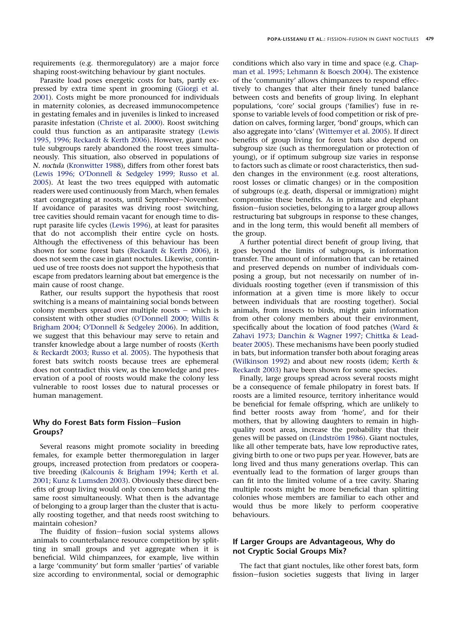requirements (e.g. thermoregulatory) are a major force shaping roost-switching behaviour by giant noctules.

Parasite load poses energetic costs for bats, partly expressed by extra time spent in grooming [\(Giorgi et al.](#page-10-0) [2001](#page-10-0)). Costs might be more pronounced for individuals in maternity colonies, as decreased immunocompetence in gestating females and in juveniles is linked to increased parasite infestation ([Christe et al. 2000](#page-10-0)). Roost switching could thus function as an antiparasite strategy ([Lewis](#page-10-0) [1995, 1996; Reckardt & Kerth 2006](#page-10-0)). However, giant noctule subgroups rarely abandoned the roost trees simultaneously. This situation, also observed in populations of N. noctula ([Kronwitter 1988\)](#page-10-0), differs from other forest bats ([Lewis 1996; O'Donnell & Sedgeley 1999; Russo et al.](#page-10-0) [2005\)](#page-10-0). At least the two trees equipped with automatic readers were used continuously from March, when females start congregating at roosts, until September-November. If avoidance of parasites was driving roost switching, tree cavities should remain vacant for enough time to disrupt parasite life cycles [\(Lewis 1996\)](#page-10-0), at least for parasites that do not accomplish their entire cycle on hosts. Although the effectiveness of this behaviour has been shown for some forest bats [\(Reckardt & Kerth 2006\)](#page-11-0), it does not seem the case in giant noctules. Likewise, continued use of tree roosts does not support the hypothesis that escape from predators learning about bat emergence is the main cause of roost change.

Rather, our results support the hypothesis that roost switching is a means of maintaining social bonds between colony members spread over multiple roosts  $-$  which is consistent with other studies ([O'Donnell 2000; Willis &](#page-10-0) [Brigham 2004; O'Donnell & Sedgeley 2006](#page-10-0)). In addition, we suggest that this behaviour may serve to retain and transfer knowledge about a large number of roosts ([Kerth](#page-10-0) [& Reckardt 2003; Russo et al. 2005\)](#page-10-0). The hypothesis that forest bats switch roosts because trees are ephemeral does not contradict this view, as the knowledge and preservation of a pool of roosts would make the colony less vulnerable to roost losses due to natural processes or human management.

# Why do Forest Bats form Fission–Fusion Groups?

Several reasons might promote sociality in breeding females, for example better thermoregulation in larger groups, increased protection from predators or cooperative breeding ([Kalcounis & Brigham 1994; Kerth et al.](#page-10-0) [2001; Kunz & Lumsden 2003\)](#page-10-0). Obviously these direct benefits of group living would only concern bats sharing the same roost simultaneously. What then is the advantage of belonging to a group larger than the cluster that is actually roosting together, and that needs roost switching to maintain cohesion?

The fluidity of fission-fusion social systems allows animals to counterbalance resource competition by splitting in small groups and yet aggregate when it is beneficial. Wild chimpanzees, for example, live within a large 'community' but form smaller 'parties' of variable size according to environmental, social or demographic conditions which also vary in time and space (e.g. [Chap](#page-10-0)[man et al. 1995; Lehmann & Boesch 2004](#page-10-0)). The existence of the 'community' allows chimpanzees to respond effectively to changes that alter their finely tuned balance between costs and benefits of group living. In elephant populations, 'core' social groups ('families') fuse in response to variable levels of food competition or risk of predation on calves, forming larger, 'bond' groups, which can also aggregate into 'clans' ([Wittemyer et al. 2005\)](#page-11-0). If direct benefits of group living for forest bats also depend on subgroup size (such as thermoregulation or protection of young), or if optimum subgroup size varies in response to factors such as climate or roost characteristics, then sudden changes in the environment (e.g. roost alterations, roost losses or climatic changes) or in the composition of subgroups (e.g. death, dispersal or immigration) might compromise these benefits. As in primate and elephant fission-fusion societies, belonging to a larger group allows restructuring bat subgroups in response to these changes, and in the long term, this would benefit all members of the group.

A further potential direct benefit of group living, that goes beyond the limits of subgroups, is information transfer. The amount of information that can be retained and preserved depends on number of individuals composing a group, but not necessarily on number of individuals roosting together (even if transmission of this information at a given time is more likely to occur between individuals that are roosting together). Social animals, from insects to birds, might gain information from other colony members about their environment, specifically about the location of food patches [\(Ward &](#page-11-0) [Zahavi 1973; Danchin & Wagner 1997; Chittka & Lead](#page-11-0)[beater 2005](#page-11-0)). These mechanisms have been poorly studied in bats, but information transfer both about foraging areas ([Wilkinson 1992](#page-11-0)) and about new roosts (idem; [Kerth &](#page-10-0) [Reckardt 2003\)](#page-10-0) have been shown for some species.

Finally, large groups spread across several roosts might be a consequence of female philopatry in forest bats. If roosts are a limited resource, territory inheritance would be beneficial for female offspring, which are unlikely to find better roosts away from 'home', and for their mothers, that by allowing daughters to remain in highquality roost areas, increase the probability that their genes will be passed on (Lindström 1986). Giant noctules, like all other temperate bats, have low reproductive rates, giving birth to one or two pups per year. However, bats are long lived and thus many generations overlap. This can eventually lead to the formation of larger groups than can fit into the limited volume of a tree cavity. Sharing multiple roosts might be more beneficial than splitting colonies whose members are familiar to each other and would thus be more likely to perform cooperative behaviours.

# If Larger Groups are Advantageous, Why do not Cryptic Social Groups Mix?

The fact that giant noctules, like other forest bats, form fission-fusion societies suggests that living in larger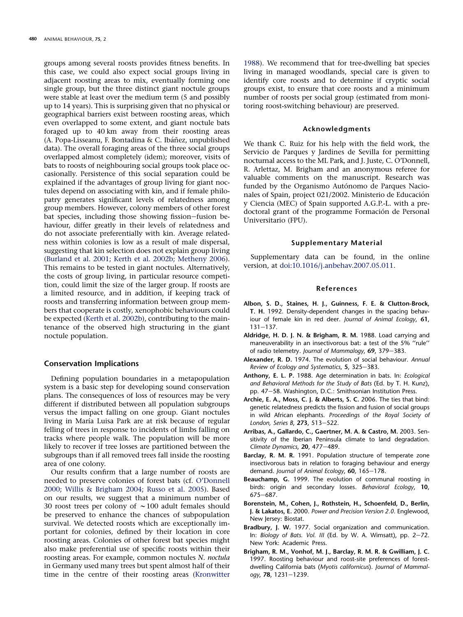groups among several roosts provides fitness benefits. In this case, we could also expect social groups living in adjacent roosting areas to mix, eventually forming one single group, but the three distinct giant noctule groups were stable at least over the medium term (5 and possibly up to 14 years). This is surprising given that no physical or geographical barriers exist between roosting areas, which even overlapped to some extent, and giant noctule bats foraged up to 40 km away from their roosting areas (A. Popa-Lisseanu, F. Bontadina & C. Ibáñez, unpublished data). The overall foraging areas of the three social groups overlapped almost completely (idem); moreover, visits of bats to roosts of neighbouring social groups took place occasionally. Persistence of this social separation could be explained if the advantages of group living for giant noctules depend on associating with kin, and if female philopatry generates significant levels of relatedness among group members. However, colony members of other forest bat species, including those showing fission-fusion behaviour, differ greatly in their levels of relatedness and do not associate preferentially with kin. Average relatedness within colonies is low as a result of male dispersal, suggesting that kin selection does not explain group living ([Burland et al. 2001; Kerth et al. 2002b; Metheny 2006](#page-10-0)). This remains to be tested in giant noctules. Alternatively, the costs of group living, in particular resource competition, could limit the size of the larger group. If roosts are a limited resource, and in addition, if keeping track of roosts and transferring information between group members that cooperate is costly, xenophobic behaviours could be expected [\(Kerth et al. 2002b\)](#page-10-0), contributing to the maintenance of the observed high structuring in the giant noctule population.

## Conservation Implications

Defining population boundaries in a metapopulation system is a basic step for developing sound conservation plans. The consequences of loss of resources may be very different if distributed between all population subgroups versus the impact falling on one group. Giant noctules living in María Luisa Park are at risk because of regular felling of trees in response to incidents of limbs falling on tracks where people walk. The population will be more likely to recover if tree losses are partitioned between the subgroups than if all removed trees fall inside the roosting area of one colony.

<span id="page-9-0"></span>Our results confirm that a large number of roosts are needed to preserve colonies of forest bats (cf. [O'Donnell](#page-10-0) [2000; Willis & Brigham 2004; Russo et al. 2005\)](#page-10-0). Based on our results, we suggest that a minimum number of 30 roost trees per colony of  $\sim$  100 adult females should be preserved to enhance the chances of subpopulation survival. We detected roosts which are exceptionally important for colonies, defined by their location in core roosting areas. Colonies of other forest bat species might also make preferential use of specific roosts within their roosting areas. For example, common noctules N. noctula in Germany used many trees but spent almost half of their time in the centre of their roosting areas [\(Kronwitter](#page-10-0)

[1988](#page-10-0)). We recommend that for tree-dwelling bat species living in managed woodlands, special care is given to identify core roosts and to determine if cryptic social groups exist, to ensure that core roosts and a minimum number of roosts per social group (estimated from monitoring roost-switching behaviour) are preserved.

#### Acknowledgments

We thank C. Ruiz for his help with the field work, the Servicio de Parques y Jardines de Sevilla for permitting nocturnal access to the ML Park, and J. Juste, C. O'Donnell, R. Arlettaz, M. Brigham and an anonymous referee for valuable comments on the manuscript. Research was funded by the Organismo Autónomo de Parques Nacionales of Spain, project 021/2002. Ministerio de Educación y Ciencia (MEC) of Spain supported A.G.P.-L. with a predoctoral grant of the programme Formación de Personal Universitario (FPU).

#### Supplementary Material

Supplementary data can be found, in the online version, at [doi:10.1016/j.anbehav.2007.05.011](http://dx.doi.org/doi:10.1016/j.anbehav.2007.05.011).

#### References

- Albon, S. D., Staines, H. J., Guinness, F. E. & Clutton-Brock, T. H. 1992. Density-dependent changes in the spacing behaviour of female kin in red deer. Journal of Animal Ecology, 61, 131-137.
- Aldridge, H. D. J. N. & Brigham, R. M. 1988. Load carrying and maneuverability in an insectivorous bat: a test of the 5% ''rule'' of radio telemetry. Journal of Mammalogy, 69, 379-383.
- Alexander, R. D. 1974. The evolution of social behaviour. Annual Review of Ecology and Systematics, 5, 325-383.
- Anthony, E. L. P. 1988. Age determination in bats. In: Ecological and Behavioral Methods for the Study of Bats (Ed. by T. H. Kunz), pp. 47-58. Washington, D.C.: Smithsonian Institution Press.
- Archie, E. A., Moss, C. J. & Alberts, S. C. 2006. The ties that bind: genetic relatedness predicts the fission and fusion of social groups in wild African elephants. Proceedings of the Royal Society of London, Series B, 273, 513-522.
- Arribas, A., Gallardo, C., Gaertner, M. A. & Castro, M. 2003. Sensitivity of the Iberian Peninsula climate to land degradation. Climate Dynamics,  $20$ ,  $477-489$ .
- Barclay, R. M. R. 1991. Population structure of temperate zone insectivorous bats in relation to foraging behaviour and energy demand. Journal of Animal Ecology, 60, 165-178.
- Beauchamp, G. 1999. The evolution of communal roosting in birds: origin and secondary losses. Behavioral Ecology, 10, 675-687.
- Borenstein, M., Cohen, J., Rothstein, H., Schoenfeld, D., Berlin, J. & Lakatos, E. 2000. Power and Precision Version 2.0. Englewood, New Jersey: Biostat.
- Bradbury, J. W. 1977. Social organization and communication. In: Biology of Bats. Vol. III (Ed. by W. A. Wimsatt), pp.  $2-72$ . New York: Academic Press.
- Brigham, R. M., Vonhof, M. J., Barclay, R. M. R. & Gwilliam, J. C. 1997. Roosting behaviour and roost-site preferences of forestdwelling California bats (Myotis californicus). Journal of Mammalogy, 78, 1231-1239.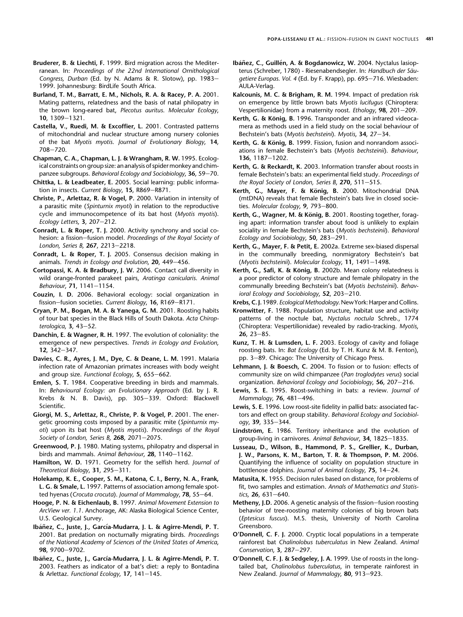- Bruderer, B. & Liechti, F. 1999. Bird migration across the Mediterranean. In: Proceedings of the 22nd International Ornithological Congress, Durban (Ed. by N. Adams & R. Slotow), pp. 1983-1999. Johannesburg: BirdLife South Africa.
- Burland, T. M., Barratt, E. M., Nichols, R. A. & Racey, P. A. 2001. Mating patterns, relatedness and the basis of natal philopatry in the brown long-eared bat, Plecotus auritus. Molecular Ecology, 10, 1309-1321.
- Castella, V., Ruedi, M. & Excoffier, L. 2001. Contrasted patterns of mitochondrial and nuclear structure among nursery colonies of the bat Myotis myotis. Journal of Evolutionary Biology, 14, 708e720.
- Chapman, C. A., Chapman, L. J. & Wrangham, R. W. 1995. Ecological constraints on group size: an analysis of spider monkey and chimpanzee subgroups. Behavioral Ecology and Sociobiology, 36, 59-70.
- Chittka, L. & Leadbeater, E. 2005. Social learning: public information in insects. Current Biology, 15, R869-R871.
- Christe, P., Arlettaz, R. & Vogel, P. 2000. Variation in intensity of a parasitic mite (Spinturnix myoti) in relation to the reproductive cycle and immunocompetence of its bat host (Myotis myotis). Ecology Letters,  $3, 207-212$ .
- Conradt, L. & Roper, T. J. 2000. Activity synchrony and social cohesion: a fission-fusion model. Proceedings of the Royal Society of London, Series B, 267, 2213-2218.
- Conradt, L. & Roper, T. J. 2005. Consensus decision making in animals. Trends in Ecology and Evolution, 20, 449-456.
- Cortopassi, K. A. & Bradbury, J. W. 2006. Contact call diversity in wild orange-fronted parakeet pairs, Aratinga canicularis. Animal Behaviour, 71, 1141-1154.
- Couzin, I. D. 2006. Behavioral ecology: social organization in fission-fusion societies. Current Biology, 16, R169-R171.
- Cryan, P. M., Bogan, M. A. & Yanega, G. M. 2001. Roosting habits of tour bat species in the Black Hills of South Dakota. Acta Chiropterologica,  $3, 43-52.$
- Danchin, E. & Wagner, R. H. 1997. The evolution of coloniality: the emergence of new perspectives. Trends in Ecology and Evolution, 12, 342-347.
- Davies, C. R., Ayres, J. M., Dye, C. & Deane, L. M. 1991. Malaria infection rate of Amazonian primates increases with body weight and group size. Functional Ecology,  $5, 655-662$ .
- Emlen, S. T. 1984. Cooperative breeding in birds and mammals. In: Behavioural Ecology: an Evolutionary Approach (Ed. by J. R. Krebs & N. B. Davis), pp. 305-339. Oxford: Blackwell Scientific.
- Giorgi, M. S., Arlettaz, R., Christe, P. & Vogel, P. 2001. The energetic grooming costs imposed by a parasitic mite (Spinturnix myoti) upon its bat host (Myotis myotis). Proceedings of the Royal Society of London, Series B,  $268$ ,  $2071-2075$ .
- Greenwood, P. J. 1980. Mating systems, philopatry and dispersal in birds and mammals. Animal Behaviour, 28, 1140-1162.
- Hamilton, W. D. 1971. Geometry for the selfish herd. Journal of Theoretical Biology, 31, 295-311.
- Holekamp, K. E., Cooper, S. M., Katona, C. I., Berry, N. A., Frank, L. G. & Smale, L. 1997. Patterns of association among female spotted hyenas (Crocuta crocuta). Journal of Mammalogy, 78, 55-64.
- Hooge, P. N. & Eichenlaub, B. 1997. Animal Movement Extension to ArcView ver. 1.1. Anchorage, AK: Alaska Biological Science Center, U.S. Geological Survey.
- Ibáñez, C., Juste, J., García-Mudarra, J. L. & Agirre-Mendi, P. T. 2001. Bat predation on nocturnally migrating birds. Proceedings of the National Academy of Sciences of the United States of America, 98, 9700-9702.
- <span id="page-10-0"></span>Ibáñez, C., Juste, J., García-Mudarra, J. L. & Agirre-Mendi, P. T. 2003. Feathers as indicator of a bat's diet: a reply to Bontadina & Arlettaz. Functional Ecology, 17, 141-145.
- Ibáñez, C., Guillén, A. & Bogdanowicz, W. 2004. Nyctalus lasiopterus (Schreber, 1780) - Riesenabendsegler. In: Handbuch der Säugetiere Europas. Vol. 4 (Ed. by F. Krapp), pp. 695-716. Wiesbaden: AULA-Verlag.
- Kalcounis, M. C. & Brigham, R. M. 1994. Impact of predation risk on emergence by little brown bats Myotis lucifugus (Chiroptera: Vespertilionidae) from a maternity roost. Ethology,  $98$ , 201-209.
- Kerth, G. & König, B. 1996. Transponder and an infrared videocamera as methods used in a field study on the social behaviour of Bechstein's bats (Myotis bechsteini). Myotis, 34, 27-34.
- Kerth, G. & König, B. 1999. Fission, fusion and nonrandom associations in female Bechstein's bats (Myotis bechsteinii). Behaviour, 136, 1187-1202.
- Kerth, G. & Reckardt, K. 2003. Information transfer about roosts in female Bechstein's bats: an experimental field study. Proceedings of the Royal Society of London, Series B,  $270$ ,  $511-515$ .
- Kerth, G., Mayer, F. & König, B. 2000. Mitochondrial DNA (mtDNA) reveals that female Bechstein's bats live in closed societies. Molecular Ecology, 9, 793-800.
- Kerth, G., Wagner, M. & König, B. 2001. Roosting together, foraging apart: information transfer about food is unlikely to explain sociality in female Bechstein's bats (Myotis bechsteinii). Behavioral Ecology and Sociobiology, 50, 283-291.
- Kerth, G., Mayer, F. & Petit, E. 2002a. Extreme sex-biased dispersal in the communally breeding, nonmigratory Bechstein's bat (Myotis bechsteinii). Molecular Ecology, 11, 1491-1498.
- Kerth, G., Safi, K. & König, B. 2002b. Mean colony relatedness is a poor predictor of colony structure and female philopatry in the communally breeding Bechstein's bat (Myotis bechsteinii). Behavioral Ecology and Sociobiology, 52, 203-210.
- Krebs, C. J.1989. Ecological Methodology. New York: Harper and Collins.
- Kronwitter, F. 1988. Population structure, habitat use and activity patterns of the noctule bat, Nyctalus noctula Schreb., 1774 (Chiroptera: Vespertilionidae) revealed by radio-tracking. Myotis,  $26, 23 - 85.$
- Kunz, T. H. & Lumsden, L. F. 2003. Ecology of cavity and foliage roosting bats. In: Bat Ecology (Ed. by T. H. Kunz & M. B. Fenton), pp. 3-89. Chicago: The University of Chicago Press.
- Lehmann, J. & Boesch, C. 2004. To fission or to fusion: effects of community size on wild chimpanzee (Pan troglodytes verus) social organization. Behavioral Ecology and Sociobiology, 56, 207-216.
- Lewis, S. E. 1995. Roost-switching in bats: a review. Journal of Mammalogy, 76, 481-496.
- Lewis, S. E. 1996. Low roost-site fidelity in pallid bats: associated factors and effect on group stability. Behavioral Ecology and Sociobiology, 39, 335-344.
- Lindström, E. 1986. Territory inheritance and the evolution of group-living in carnivores. Animal Behaviour, 34, 1825-1835.
- Lusseau, D., Wilson, B., Hammond, P. S., Grellier, K., Durban, J. W., Parsons, K. M., Barton, T. R. & Thompson, P. M. 2006. Quantifying the influence of sociality on population structure in bottlenose dolphins. Journal of Animal Ecology, 75, 14-24.
- Matusita, K. 1955. Decision rules based on distance, for problems of fit, two samples and estimation. Annals of Mathematics and Statistics,  $26, 631-640.$
- Metheny, J.D. 2006. A genetic analysis of the fission-fusion roosting behavior of tree-roosting maternity colonies of big brown bats (Eptesicus fuscus). M.S. thesis, University of North Carolina Greensboro.
- O'Donnell, C. F. J. 2000. Cryptic local populations in a temperate rainforest bat Chalinolobus tuberculatus in New Zealand. Animal Conservation,  $3, 287-297$ .
- O'Donnell, C. F. J. & Sedgeley, J. A. 1999. Use of roosts in the longtailed bat, Chalinolobus tuberculatus, in temperate rainforest in New Zealand. Journal of Mammalogy, 80, 913-923.